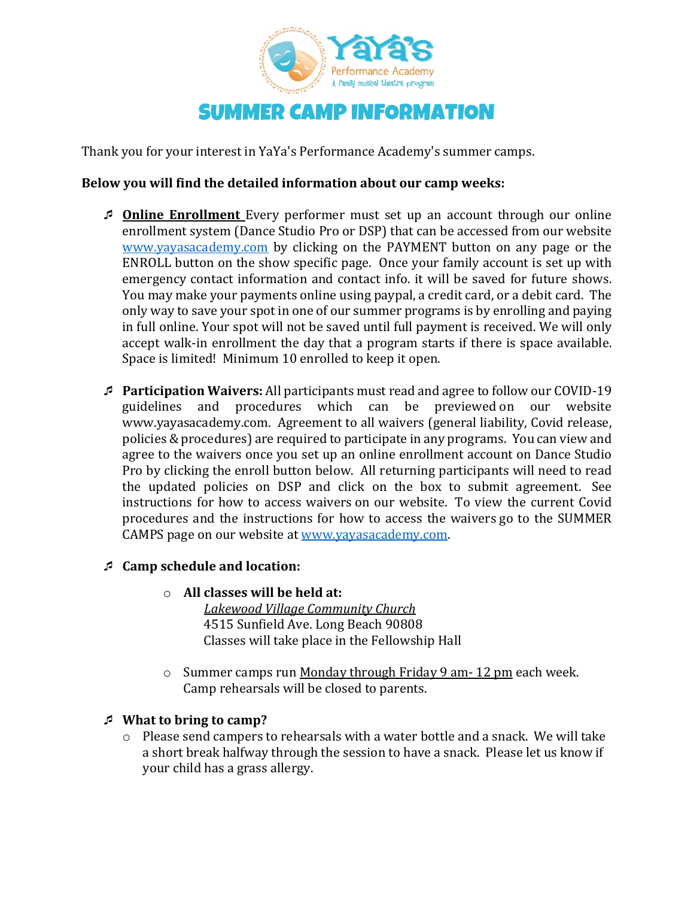

Thank you for your interest in YaYa's Performance Academy's summer camps.

## **Below you will find the detailed information about our camp weeks:**

- **<u>⊅ Online Enrollment</u>** Every performer must set up an account through our online enrollment system (Dance Studio Pro or DSP) that can be accessed from our website www.yayasacademy.com by clicking on the PAYMENT button on any page or the ENROLL button on the show specific page. Once your family account is set up with emergency contact information and contact info. it will be saved for future shows. You may make your payments online using paypal, a credit card, or a debit card. The only way to save your spot in one of our summer programs is by enrolling and paying in full online. Your spot will not be saved until full payment is received. We will only accept walk-in enrollment the day that a program starts if there is space available. Space is limited! Minimum 10 enrolled to keep it open.
- ¯ **Participation Waivers:** All participants must read and agree to follow our COVID-19 guidelines and procedures which can be previewed on our website www.yayasacademy.com. Agreement to all waivers (general liability, Covid release, policies & procedures) are required to participate in any programs. You can view and agree to the waivers once you set up an online enrollment account on Dance Studio Pro by clicking the enroll button below. All returning participants will need to read the updated policies on DSP and click on the box to submit agreement. See instructions for how to access waivers on our website. To view the current Covid procedures and the instructions for how to access the waivers go to the SUMMER CAMPS page on our website at www.yayasacademy.com.

## ¯ **Camp schedule and location:**

o **All classes will be held at:**

*Lakewood Village Community Church* 4515 Sunfield Ave. Long Beach 90808 Classes will take place in the Fellowship Hall

 $\circ$  Summer camps run Monday through Friday 9 am- 12 pm each week. Camp rehearsals will be closed to parents.

## **E** What to bring to camp?

 $\circ$  Please send campers to rehearsals with a water bottle and a snack. We will take a short break halfway through the session to have a snack. Please let us know if your child has a grass allergy.